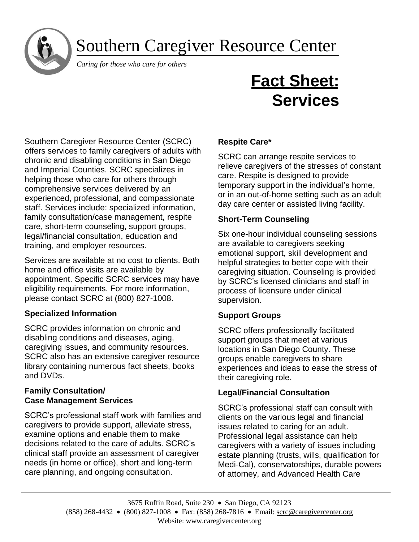# Southern Caregiver Resource Center

 *Caring for those who care for others*

# **Fact Sheet: Services**

Southern Caregiver Resource Center (SCRC) offers services to family caregivers of adults with chronic and disabling conditions in San Diego and Imperial Counties. SCRC specializes in helping those who care for others through comprehensive services delivered by an experienced, professional, and compassionate staff. Services include: specialized information, family consultation/case management, respite care, short-term counseling, support groups, legal/financial consultation, education and training, and employer resources.

Services are available at no cost to clients. Both home and office visits are available by appointment. Specific SCRC services may have eligibility requirements. For more information, please contact SCRC at (800) 827-1008.

## **Specialized Information**

SCRC provides information on chronic and disabling conditions and diseases, aging, caregiving issues, and community resources. SCRC also has an extensive caregiver resource library containing numerous fact sheets, books and DVDs.

#### **Family Consultation/ Case Management Services**

SCRC's professional staff work with families and caregivers to provide support, alleviate stress, examine options and enable them to make decisions related to the care of adults. SCRC's clinical staff provide an assessment of caregiver needs (in home or office), short and long-term care planning, and ongoing consultation.

## **Respite Care\***

SCRC can arrange respite services to relieve caregivers of the stresses of constant care. Respite is designed to provide temporary support in the individual's home, or in an out-of-home setting such as an adult day care center or assisted living facility.

#### **Short-Term Counseling**

Six one-hour individual counseling sessions are available to caregivers seeking emotional support, skill development and helpful strategies to better cope with their caregiving situation. Counseling is provided by SCRC's licensed clinicians and staff in process of licensure under clinical supervision.

#### **Support Groups**

SCRC offers professionally facilitated support groups that meet at various locations in San Diego County. These groups enable caregivers to share experiences and ideas to ease the stress of their caregiving role.

#### **Legal/Financial Consultation**

SCRC's professional staff can consult with clients on the various legal and financial issues related to caring for an adult. Professional legal assistance can help caregivers with a variety of issues including estate planning (trusts, wills, qualification for Medi-Cal), conservatorships, durable powers of attorney, and Advanced Health Care